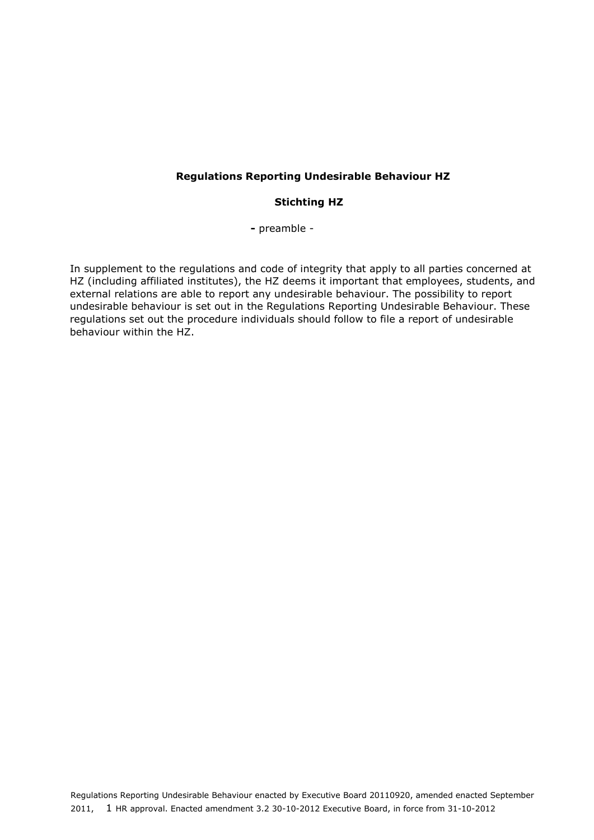#### **Regulations Reporting Undesirable Behaviour HZ**

#### **Stichting HZ**

**-** preamble -

In supplement to the regulations and code of integrity that apply to all parties concerned at HZ (including affiliated institutes), the HZ deems it important that employees, students, and external relations are able to report any undesirable behaviour. The possibility to report undesirable behaviour is set out in the Regulations Reporting Undesirable Behaviour. These regulations set out the procedure individuals should follow to file a report of undesirable behaviour within the HZ.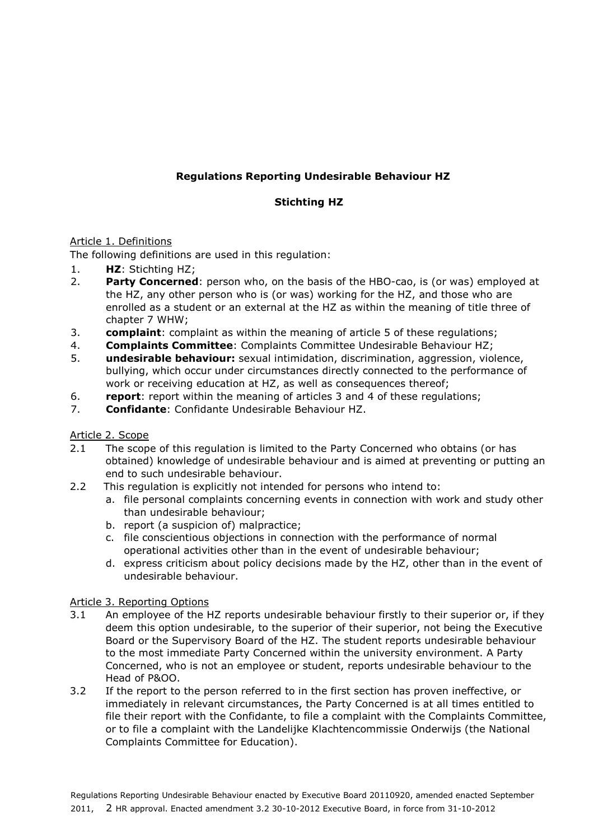# **Regulations Reporting Undesirable Behaviour HZ**

# **Stichting HZ**

### Article 1. Definitions

The following definitions are used in this regulation:

- 1. **HZ**: Stichting HZ;
- 2. **Party Concerned**: person who, on the basis of the HBO-cao, is (or was) employed at the HZ, any other person who is (or was) working for the HZ, and those who are enrolled as a student or an external at the HZ as within the meaning of title three of chapter 7 WHW;
- 3. **complaint**: complaint as within the meaning of article 5 of these regulations;
- 4. **Complaints Committee**: Complaints Committee Undesirable Behaviour HZ;
- 5. **undesirable behaviour:** sexual intimidation, discrimination, aggression, violence, bullying, which occur under circumstances directly connected to the performance of work or receiving education at HZ, as well as consequences thereof;
- 6. **report**: report within the meaning of articles 3 and 4 of these regulations;
- 7. **Confidante**: Confidante Undesirable Behaviour HZ.
- Article 2. Scope
- 2.1 The scope of this regulation is limited to the Party Concerned who obtains (or has obtained) knowledge of undesirable behaviour and is aimed at preventing or putting an end to such undesirable behaviour.
- 2.2 This regulation is explicitly not intended for persons who intend to:
	- a. file personal complaints concerning events in connection with work and study other than undesirable behaviour;
		- b. report (a suspicion of) malpractice;
		- c. file conscientious objections in connection with the performance of normal operational activities other than in the event of undesirable behaviour;
		- d. express criticism about policy decisions made by the HZ, other than in the event of undesirable behaviour.

### Article 3. Reporting Options

- 3.1 An employee of the HZ reports undesirable behaviour firstly to their superior or, if they deem this option undesirable, to the superior of their superior, not being the Executive Board or the Supervisory Board of the HZ. The student reports undesirable behaviour to the most immediate Party Concerned within the university environment. A Party Concerned, who is not an employee or student, reports undesirable behaviour to the Head of P&OO.
- 3.2 If the report to the person referred to in the first section has proven ineffective, or immediately in relevant circumstances, the Party Concerned is at all times entitled to file their report with the Confidante, to file a complaint with the Complaints Committee, or to file a complaint with the Landelijke Klachtencommissie Onderwijs (the National Complaints Committee for Education).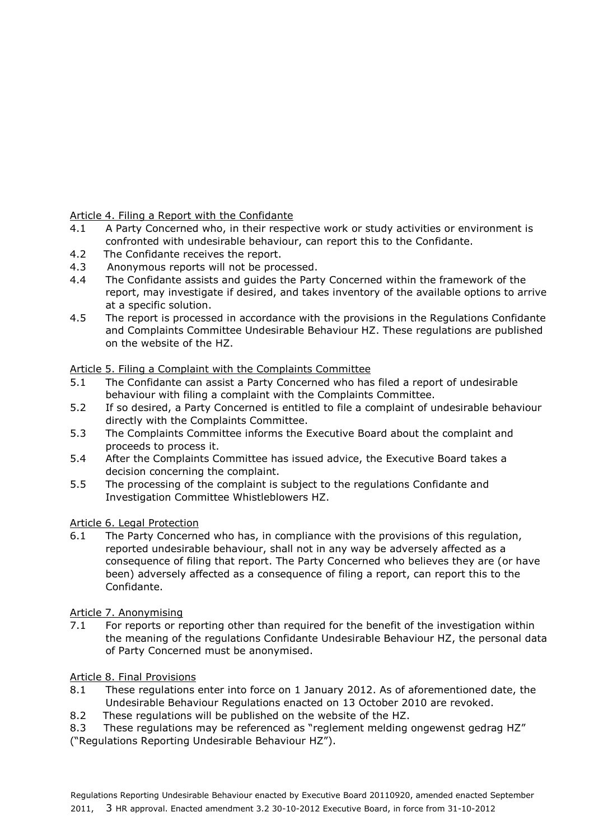## Article 4. Filing a Report with the Confidante

- 4.1 A Party Concerned who, in their respective work or study activities or environment is confronted with undesirable behaviour, can report this to the Confidante.
- 4.2 The Confidante receives the report.
- 4.3 Anonymous reports will not be processed.
- 4.4 The Confidante assists and guides the Party Concerned within the framework of the report, may investigate if desired, and takes inventory of the available options to arrive at a specific solution.
- 4.5 The report is processed in accordance with the provisions in the Regulations Confidante and Complaints Committee Undesirable Behaviour HZ. These regulations are published on the website of the HZ.

## Article 5. Filing a Complaint with the Complaints Committee

- 5.1 The Confidante can assist a Party Concerned who has filed a report of undesirable behaviour with filing a complaint with the Complaints Committee.
- 5.2 If so desired, a Party Concerned is entitled to file a complaint of undesirable behaviour directly with the Complaints Committee.
- 5.3 The Complaints Committee informs the Executive Board about the complaint and proceeds to process it.
- 5.4 After the Complaints Committee has issued advice, the Executive Board takes a decision concerning the complaint.
- 5.5 The processing of the complaint is subject to the regulations Confidante and Investigation Committee Whistleblowers HZ.

### Article 6. Legal Protection

6.1 The Party Concerned who has, in compliance with the provisions of this regulation, reported undesirable behaviour, shall not in any way be adversely affected as a consequence of filing that report. The Party Concerned who believes they are (or have been) adversely affected as a consequence of filing a report, can report this to the Confidante.

### Article 7. Anonymising

7.1 For reports or reporting other than required for the benefit of the investigation within the meaning of the regulations Confidante Undesirable Behaviour HZ, the personal data of Party Concerned must be anonymised.

### Article 8. Final Provisions

- 8.1 These regulations enter into force on 1 January 2012. As of aforementioned date, the Undesirable Behaviour Regulations enacted on 13 October 2010 are revoked.
- 8.2 These regulations will be published on the website of the HZ.
- 8.3 These regulations may be referenced as "reglement melding ongewenst gedrag HZ"
- ("Regulations Reporting Undesirable Behaviour HZ").